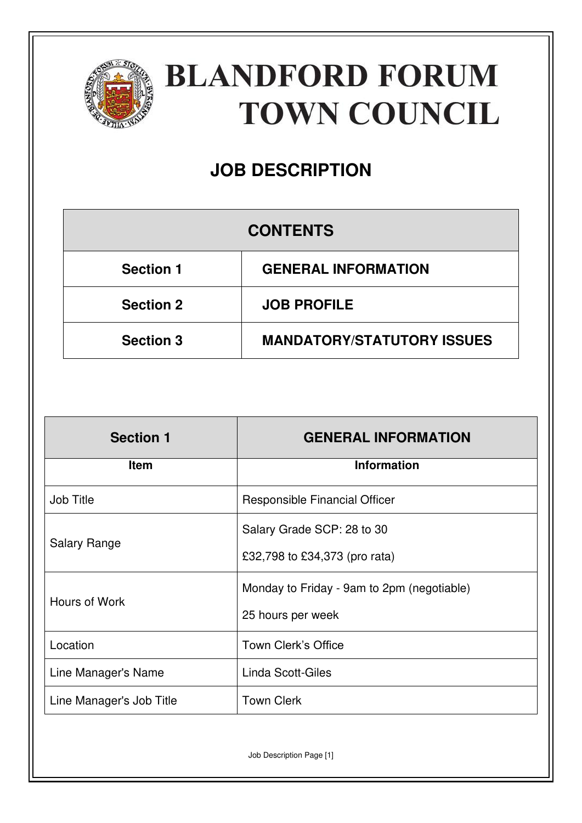

# **BLANDFORD FORUM TOWN COUNCIL**

## **JOB DESCRIPTION**

### **CONTENTS**

| <b>Section 1</b> | <b>GENERAL INFORMATION</b>        |
|------------------|-----------------------------------|
| <b>Section 2</b> | <b>JOB PROFILE</b>                |
| <b>Section 3</b> | <b>MANDATORY/STATUTORY ISSUES</b> |

| <b>Section 1</b>         | <b>GENERAL INFORMATION</b>                 |
|--------------------------|--------------------------------------------|
| <b>Item</b>              | <b>Information</b>                         |
| <b>Job Title</b>         | Responsible Financial Officer              |
| <b>Salary Range</b>      | Salary Grade SCP: 28 to 30                 |
|                          | £32,798 to £34,373 (pro rata)              |
| Hours of Work            | Monday to Friday - 9am to 2pm (negotiable) |
|                          | 25 hours per week                          |
| Location                 | <b>Town Clerk's Office</b>                 |
| Line Manager's Name      | Linda Scott-Giles                          |
| Line Manager's Job Title | <b>Town Clerk</b>                          |

Job Description Page [1]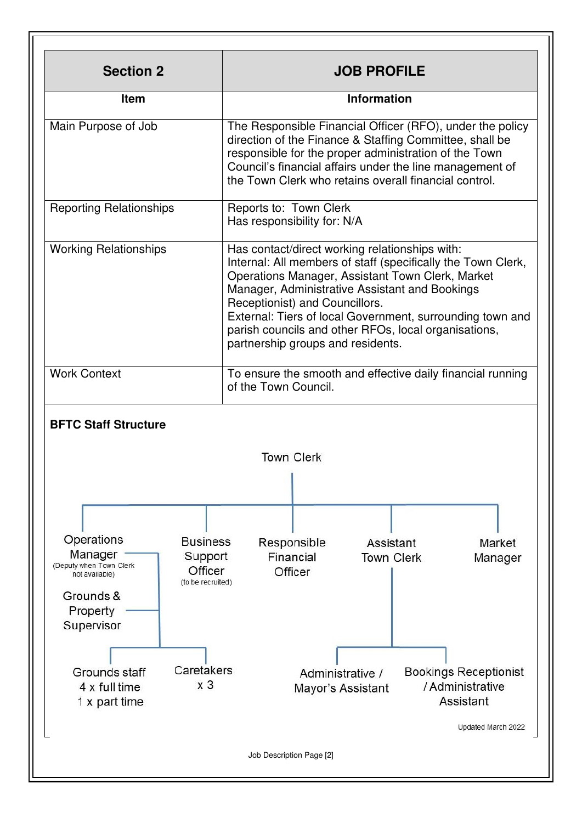| <b>Section 2</b>                                                                                                            | <b>JOB PROFILE</b>                                                                                                                                                                                                                                                                                                                                                                                               |  |
|-----------------------------------------------------------------------------------------------------------------------------|------------------------------------------------------------------------------------------------------------------------------------------------------------------------------------------------------------------------------------------------------------------------------------------------------------------------------------------------------------------------------------------------------------------|--|
| <b>Item</b>                                                                                                                 | <b>Information</b>                                                                                                                                                                                                                                                                                                                                                                                               |  |
| Main Purpose of Job                                                                                                         | The Responsible Financial Officer (RFO), under the policy<br>direction of the Finance & Staffing Committee, shall be<br>responsible for the proper administration of the Town<br>Council's financial affairs under the line management of<br>the Town Clerk who retains overall financial control.                                                                                                               |  |
| <b>Reporting Relationships</b>                                                                                              | Reports to: Town Clerk<br>Has responsibility for: N/A                                                                                                                                                                                                                                                                                                                                                            |  |
| <b>Working Relationships</b>                                                                                                | Has contact/direct working relationships with:<br>Internal: All members of staff (specifically the Town Clerk,<br>Operations Manager, Assistant Town Clerk, Market<br>Manager, Administrative Assistant and Bookings<br>Receptionist) and Councillors.<br>External: Tiers of local Government, surrounding town and<br>parish councils and other RFOs, local organisations,<br>partnership groups and residents. |  |
| <b>Work Context</b>                                                                                                         | To ensure the smooth and effective daily financial running<br>of the Town Council.                                                                                                                                                                                                                                                                                                                               |  |
| <b>BFTC Staff Structure</b>                                                                                                 |                                                                                                                                                                                                                                                                                                                                                                                                                  |  |
|                                                                                                                             | <b>Town Clerk</b>                                                                                                                                                                                                                                                                                                                                                                                                |  |
|                                                                                                                             | т.                                                                                                                                                                                                                                                                                                                                                                                                               |  |
| Operations<br><b>Business</b><br>Manager                                                                                    | Responsible<br>Assistant<br>Market                                                                                                                                                                                                                                                                                                                                                                               |  |
| Support<br>(Deputy when Town Clerk<br>Officer<br>not available)<br>(to be recruited)<br>Grounds &<br>Property<br>Supervisor | Financial<br><b>Town Clerk</b><br>Manager<br>Officer                                                                                                                                                                                                                                                                                                                                                             |  |
| Caretakers<br>Grounds staff<br>x <sub>3</sub><br>4 x full time<br>1 x part time                                             | <b>Bookings Receptionist</b><br>Administrative /<br>/ Administrative<br>Mayor's Assistant<br>Assistant                                                                                                                                                                                                                                                                                                           |  |
|                                                                                                                             | Updated March 2022                                                                                                                                                                                                                                                                                                                                                                                               |  |
|                                                                                                                             |                                                                                                                                                                                                                                                                                                                                                                                                                  |  |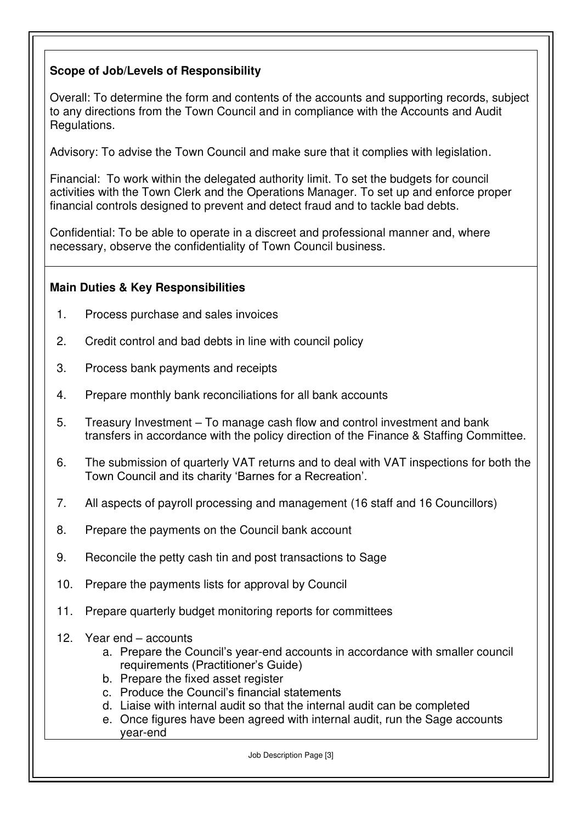#### **Scope of Job/Levels of Responsibility**

Overall: To determine the form and contents of the accounts and supporting records, subject to any directions from the Town Council and in compliance with the Accounts and Audit Regulations.

Advisory: To advise the Town Council and make sure that it complies with legislation.

Financial: To work within the delegated authority limit. To set the budgets for council activities with the Town Clerk and the Operations Manager. To set up and enforce proper financial controls designed to prevent and detect fraud and to tackle bad debts.

Confidential: To be able to operate in a discreet and professional manner and, where necessary, observe the confidentiality of Town Council business.

#### **Main Duties & Key Responsibilities**

- 1. Process purchase and sales invoices
- 2. Credit control and bad debts in line with council policy
- 3. Process bank payments and receipts
- 4. Prepare monthly bank reconciliations for all bank accounts
- 5. Treasury Investment To manage cash flow and control investment and bank transfers in accordance with the policy direction of the Finance & Staffing Committee.
- 6. The submission of quarterly VAT returns and to deal with VAT inspections for both the Town Council and its charity 'Barnes for a Recreation'.
- 7. All aspects of payroll processing and management (16 staff and 16 Councillors)
- 8. Prepare the payments on the Council bank account
- 9. Reconcile the petty cash tin and post transactions to Sage
- 10. Prepare the payments lists for approval by Council
- 11. Prepare quarterly budget monitoring reports for committees
- 12. Year end accounts
	- a. Prepare the Council's year-end accounts in accordance with smaller council requirements (Practitioner's Guide)
	- b. Prepare the fixed asset register
	- c. Produce the Council's financial statements
	- d. Liaise with internal audit so that the internal audit can be completed
	- e. Once figures have been agreed with internal audit, run the Sage accounts year-end

Job Description Page [3]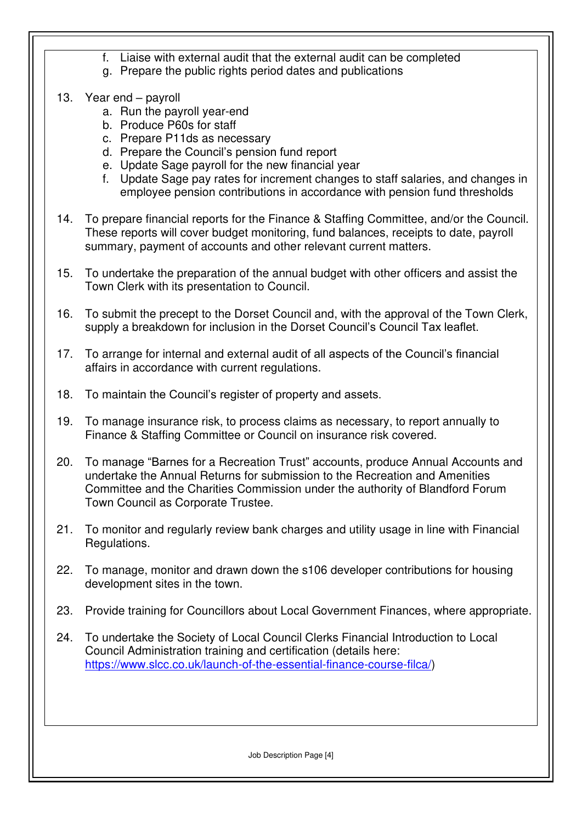- f. Liaise with external audit that the external audit can be completed
- g. Prepare the public rights period dates and publications
- 13. Year end payroll
	- a. Run the payroll year-end
	- b. Produce P60s for staff
	- c. Prepare P11ds as necessary
	- d. Prepare the Council's pension fund report
	- e. Update Sage payroll for the new financial year
	- f. Update Sage pay rates for increment changes to staff salaries, and changes in employee pension contributions in accordance with pension fund thresholds
- 14. To prepare financial reports for the Finance & Staffing Committee, and/or the Council. These reports will cover budget monitoring, fund balances, receipts to date, payroll summary, payment of accounts and other relevant current matters.
- 15. To undertake the preparation of the annual budget with other officers and assist the Town Clerk with its presentation to Council.
- 16. To submit the precept to the Dorset Council and, with the approval of the Town Clerk, supply a breakdown for inclusion in the Dorset Council's Council Tax leaflet.
- 17. To arrange for internal and external audit of all aspects of the Council's financial affairs in accordance with current regulations.
- 18. To maintain the Council's register of property and assets.
- 19. To manage insurance risk, to process claims as necessary, to report annually to Finance & Staffing Committee or Council on insurance risk covered.
- 20. To manage "Barnes for a Recreation Trust" accounts, produce Annual Accounts and undertake the Annual Returns for submission to the Recreation and Amenities Committee and the Charities Commission under the authority of Blandford Forum Town Council as Corporate Trustee.
- 21. To monitor and regularly review bank charges and utility usage in line with Financial Regulations.
- 22. To manage, monitor and drawn down the s106 developer contributions for housing development sites in the town.
- 23. Provide training for Councillors about Local Government Finances, where appropriate.
- 24. To undertake the Society of Local Council Clerks Financial Introduction to Local Council Administration training and certification (details here: [https://www.slcc.co.uk/launch-of-the-essential-finance-course-filca/\)](https://www.slcc.co.uk/launch-of-the-essential-finance-course-filca/)

Job Description Page [4]